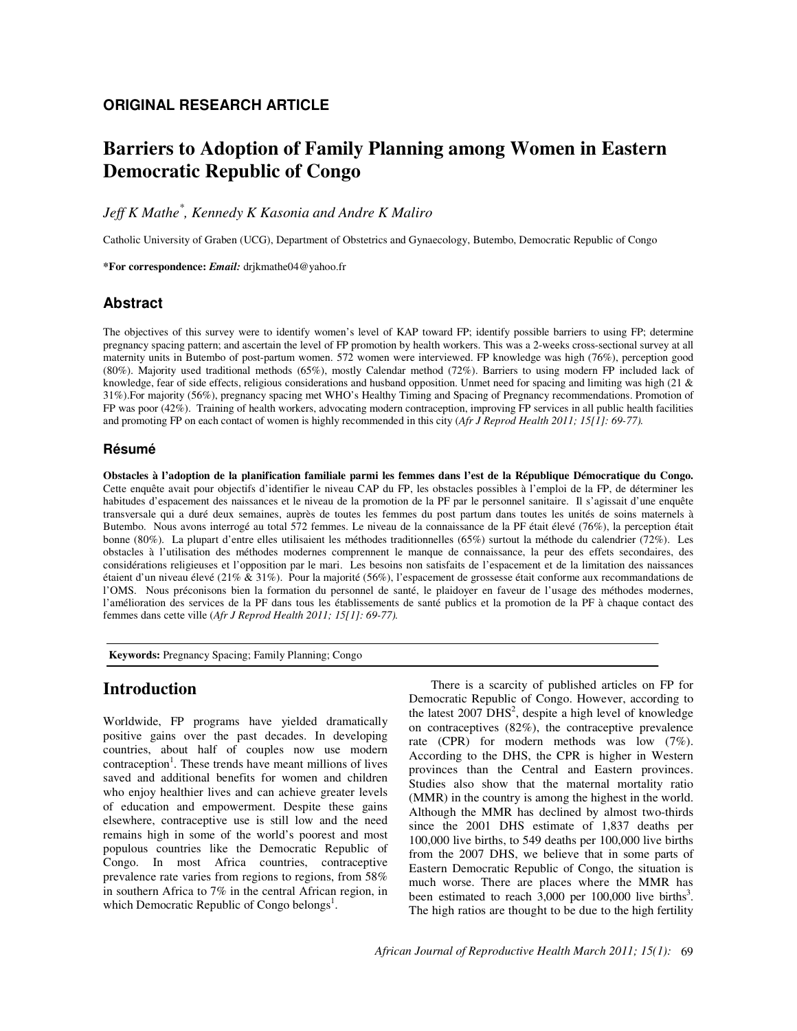## **ORIGINAL RESEARCH ARTICLE**

# **Barriers to Adoption of Family Planning among Women in Eastern Democratic Republic of Congo**

*Jeff K Mathe\* , Kennedy K Kasonia and Andre K Maliro* 

Catholic University of Graben (UCG), Department of Obstetrics and Gynaecology, Butembo, Democratic Republic of Congo

**\*For correspondence:** *Email:* drjkmathe04@yahoo.fr

## **Abstract**

The objectives of this survey were to identify women's level of KAP toward FP; identify possible barriers to using FP; determine pregnancy spacing pattern; and ascertain the level of FP promotion by health workers. This was a 2-weeks cross-sectional survey at all maternity units in Butembo of post-partum women. 572 women were interviewed. FP knowledge was high (76%), perception good (80%). Majority used traditional methods (65%), mostly Calendar method (72%). Barriers to using modern FP included lack of knowledge, fear of side effects, religious considerations and husband opposition. Unmet need for spacing and limiting was high (21 & 31%).For majority (56%), pregnancy spacing met WHO's Healthy Timing and Spacing of Pregnancy recommendations. Promotion of FP was poor (42%). Training of health workers, advocating modern contraception, improving FP services in all public health facilities and promoting FP on each contact of women is highly recommended in this city (*Afr J Reprod Health 2011; 15[1]: 69-77).*

### **Résumé**

**Obstacles à l'adoption de la planification familiale parmi les femmes dans l'est de la République Démocratique du Congo.**  Cette enquête avait pour objectifs d'identifier le niveau CAP du FP, les obstacles possibles à l'emploi de la FP, de déterminer les habitudes d'espacement des naissances et le niveau de la promotion de la PF par le personnel sanitaire. Il s'agissait d'une enquête transversale qui a duré deux semaines, auprès de toutes les femmes du post partum dans toutes les unités de soins maternels à Butembo. Nous avons interrogé au total 572 femmes. Le niveau de la connaissance de la PF était élevé (76%), la perception était bonne (80%). La plupart d'entre elles utilisaient les méthodes traditionnelles (65%) surtout la méthode du calendrier (72%). Les obstacles à l'utilisation des méthodes modernes comprennent le manque de connaissance, la peur des effets secondaires, des considérations religieuses et l'opposition par le mari. Les besoins non satisfaits de l'espacement et de la limitation des naissances étaient d'un niveau élevé (21% & 31%). Pour la majorité (56%), l'espacement de grossesse était conforme aux recommandations de l'OMS. Nous préconisons bien la formation du personnel de santé, le plaidoyer en faveur de l'usage des méthodes modernes, l'amélioration des services de la PF dans tous les établissements de santé publics et la promotion de la PF à chaque contact des femmes dans cette ville (*Afr J Reprod Health 2011; 15[1]: 69-77).*

 **Keywords:** Pregnancy Spacing; Family Planning; Congo

## **Introduction**

Worldwide, FP programs have yielded dramatically positive gains over the past decades. In developing countries, about half of couples now use modern contraception<sup>1</sup>. These trends have meant millions of lives saved and additional benefits for women and children who enjoy healthier lives and can achieve greater levels of education and empowerment. Despite these gains elsewhere, contraceptive use is still low and the need remains high in some of the world's poorest and most populous countries like the Democratic Republic of Congo. In most Africa countries, contraceptive prevalence rate varies from regions to regions, from 58% in southern Africa to 7% in the central African region, in which Democratic Republic of Congo belongs<sup>1</sup>.

There is a scarcity of published articles on FP for Democratic Republic of Congo. However, according to the latest  $2007$   $\overline{D}$ HS<sup>2</sup>, despite a high level of knowledge on contraceptives (82%), the contraceptive prevalence rate (CPR) for modern methods was low (7%). According to the DHS, the CPR is higher in Western provinces than the Central and Eastern provinces. Studies also show that the maternal mortality ratio (MMR) in the country is among the highest in the world. Although the MMR has declined by almost two-thirds since the 2001 DHS estimate of 1,837 deaths per 100,000 live births, to 549 deaths per 100,000 live births from the 2007 DHS, we believe that in some parts of Eastern Democratic Republic of Congo, the situation is much worse. There are places where the MMR has been estimated to reach  $3,000$  per 100,000 live births<sup>3</sup>. The high ratios are thought to be due to the high fertility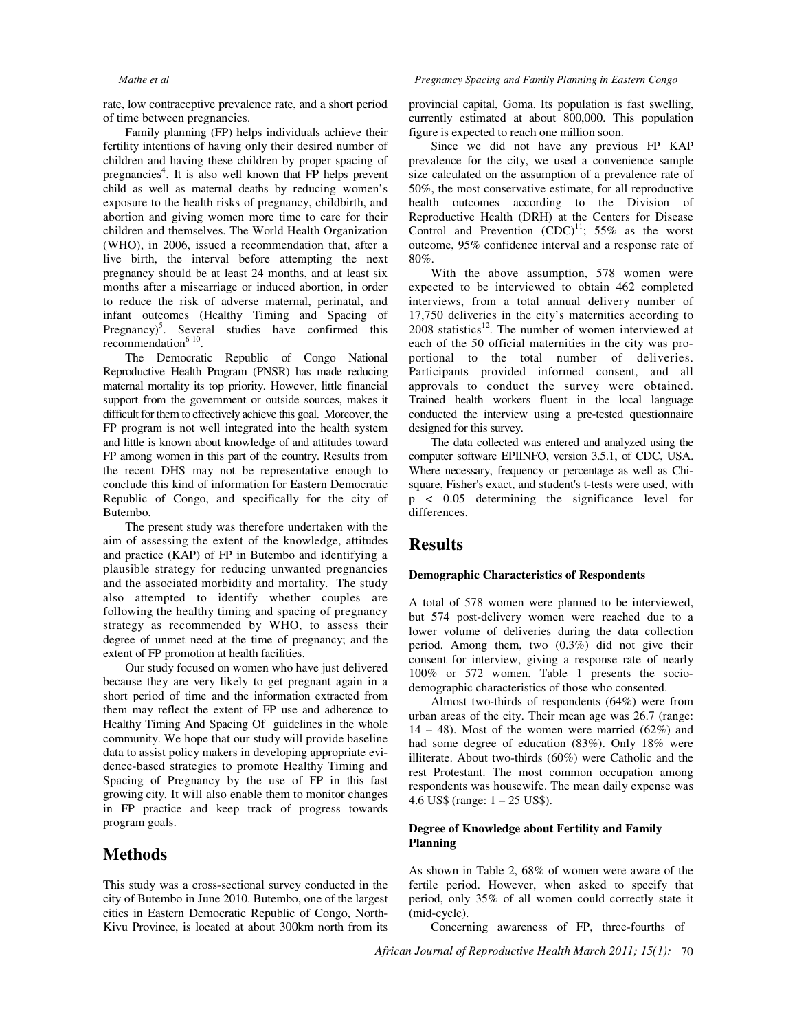rate, low contraceptive prevalence rate, and a short period of time between pregnancies.

Family planning (FP) helps individuals achieve their fertility intentions of having only their desired number of children and having these children by proper spacing of pregnancies<sup>4</sup>. It is also well known that FP helps prevent child as well as maternal deaths by reducing women's exposure to the health risks of pregnancy, childbirth, and abortion and giving women more time to care for their children and themselves. The World Health Organization (WHO), in 2006, issued a recommendation that, after a live birth, the interval before attempting the next pregnancy should be at least 24 months, and at least six months after a miscarriage or induced abortion, in order to reduce the risk of adverse maternal, perinatal, and infant outcomes (Healthy Timing and Spacing of Pregnancy)<sup>5</sup>. Several studies have confirmed this  $recommendation<sup>6-10</sup>$ .

The Democratic Republic of Congo National Reproductive Health Program (PNSR) has made reducing maternal mortality its top priority. However, little financial support from the government or outside sources, makes it difficult for them to effectively achieve this goal. Moreover, the FP program is not well integrated into the health system and little is known about knowledge of and attitudes toward FP among women in this part of the country. Results from the recent DHS may not be representative enough to conclude this kind of information for Eastern Democratic Republic of Congo, and specifically for the city of Butembo.

The present study was therefore undertaken with the aim of assessing the extent of the knowledge, attitudes and practice (KAP) of FP in Butembo and identifying a plausible strategy for reducing unwanted pregnancies and the associated morbidity and mortality. The study also attempted to identify whether couples are following the healthy timing and spacing of pregnancy strategy as recommended by WHO, to assess their degree of unmet need at the time of pregnancy; and the extent of FP promotion at health facilities.

Our study focused on women who have just delivered because they are very likely to get pregnant again in a short period of time and the information extracted from them may reflect the extent of FP use and adherence to Healthy Timing And Spacing Of guidelines in the whole community. We hope that our study will provide baseline data to assist policy makers in developing appropriate evidence-based strategies to promote Healthy Timing and Spacing of Pregnancy by the use of FP in this fast growing city. It will also enable them to monitor changes in FP practice and keep track of progress towards program goals.

## **Methods**

This study was a cross-sectional survey conducted in the city of Butembo in June 2010. Butembo, one of the largest cities in Eastern Democratic Republic of Congo, North-Kivu Province, is located at about 300km north from its

provincial capital, Goma. Its population is fast swelling, currently estimated at about 800,000. This population figure is expected to reach one million soon.

Since we did not have any previous FP KAP prevalence for the city, we used a convenience sample size calculated on the assumption of a prevalence rate of 50%, the most conservative estimate, for all reproductive health outcomes according to the Division of Reproductive Health (DRH) at the Centers for Disease Control and Prevention  $(CDC)^{11}$ ; 55% as the worst outcome, 95% confidence interval and a response rate of 80%.

With the above assumption, 578 women were expected to be interviewed to obtain 462 completed interviews, from a total annual delivery number of 17,750 deliveries in the city's maternities according to  $2008$  statistics<sup>12</sup>. The number of women interviewed at each of the 50 official maternities in the city was proportional to the total number of deliveries. Participants provided informed consent, and all approvals to conduct the survey were obtained. Trained health workers fluent in the local language conducted the interview using a pre-tested questionnaire designed for this survey.

The data collected was entered and analyzed using the computer software EPIINFO, version 3.5.1, of CDC, USA. Where necessary, frequency or percentage as well as Chisquare, Fisher's exact, and student's t-tests were used, with p < 0.05 determining the significance level for differences.

## **Results**

#### **Demographic Characteristics of Respondents**

A total of 578 women were planned to be interviewed, but 574 post-delivery women were reached due to a lower volume of deliveries during the data collection period. Among them, two (0.3%) did not give their consent for interview, giving a response rate of nearly 100% or 572 women. Table 1 presents the sociodemographic characteristics of those who consented.

Almost two-thirds of respondents (64%) were from urban areas of the city. Their mean age was 26.7 (range:  $14 - 48$ ). Most of the women were married (62%) and had some degree of education (83%). Only 18% were illiterate. About two-thirds (60%) were Catholic and the rest Protestant. The most common occupation among respondents was housewife. The mean daily expense was 4.6 US\$ (range: 1 – 25 US\$).

### **Degree of Knowledge about Fertility and Family Planning**

As shown in Table 2, 68% of women were aware of the fertile period. However, when asked to specify that period, only 35% of all women could correctly state it (mid-cycle).

Concerning awareness of FP, three-fourths of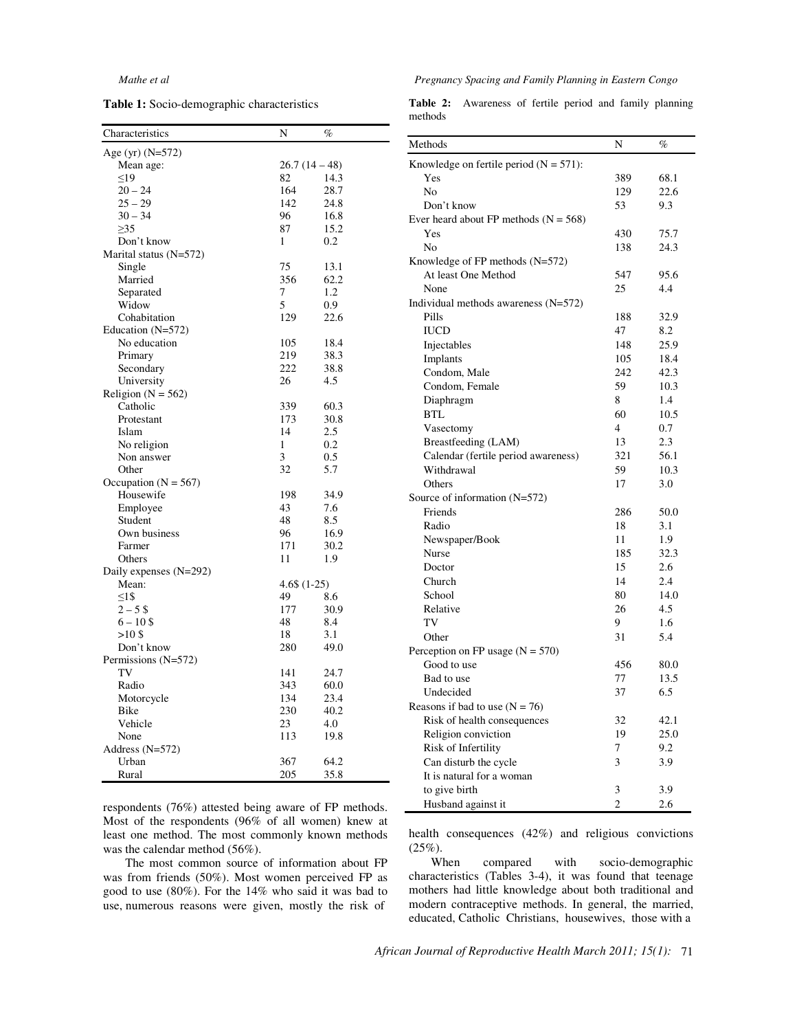**Table 1:** Socio-demographic characteristics

#### *Mathe et al Pregnancy Spacing and Family Planning in Eastern Congo*

|         | Table 2: Awareness of fertile period and family planning |  |  |  |
|---------|----------------------------------------------------------|--|--|--|
| methods |                                                          |  |  |  |

| Characteristics          | N               | $\%$ |
|--------------------------|-----------------|------|
| Age (yr) $(N=572)$       |                 |      |
| Mean age:                | $26.7(14-48)$   |      |
| <19                      | 82              | 14.3 |
| $20 - 24$                | 164             | 28.7 |
| $25 - 29$                | 142             | 24.8 |
| $30 - 34$                | 96              | 16.8 |
| $\geq$ 35                | 87              | 15.2 |
| Don't know               | 1               | 0.2  |
| Marital status (N=572)   |                 |      |
| Single                   | 75              | 13.1 |
| Married                  | 356             | 62.2 |
| Separated                | 7               | 1.2  |
| Widow                    | 5               | 0.9  |
| Cohabitation             | 129             | 22.6 |
| Education $(N=572)$      |                 |      |
| No education             | 105             | 18.4 |
| Primary                  | 219             | 38.3 |
| Secondary                | 222             | 38.8 |
| University               | 26              | 4.5  |
| Religion ( $N = 562$ )   |                 |      |
| Catholic                 | 339             | 60.3 |
| Protestant               | 173             | 30.8 |
| Islam                    | 14              | 2.5  |
| No religion              | 1               | 0.2  |
| Non answer               | 3               | 0.5  |
| Other                    | 32              | 5.7  |
| Occupation ( $N = 567$ ) |                 |      |
| Housewife                | 198             | 34.9 |
| Employee                 | 43              | 7.6  |
| Student                  | 48              | 8.5  |
| Own business             | 96              | 16.9 |
| Farmer                   | 171             | 30.2 |
| Others                   | 11              | 1.9  |
| Daily expenses (N=292)   |                 |      |
| Mean:                    | $4.6\$ $(1-25)$ |      |
| $<1$ \$                  | 49              | 8.6  |
| $2 - 5S$                 | 177             | 30.9 |
| $6 - 10$ \$              | 48              | 8.4  |
| >10S                     | 18              | 3.1  |
| Don't know               | 280             | 49.0 |
| Permissions (N=572)      |                 |      |
| TV                       | 141             | 24.7 |
| Radio                    | 343             | 60.0 |
| Motorcycle               | 134             | 23.4 |
| Bike                     | 230             | 40.2 |
| Vehicle                  | 23              | 4.0  |
| None                     | 113             | 19.8 |
| Address (N=572)          |                 |      |
| Urban                    | 367             | 64.2 |
| Rural                    | 205             | 35.8 |
|                          |                 |      |

respondents (76%) attested being aware of FP methods. Most of the respondents (96% of all women) knew at least one method. The most commonly known methods was the calendar method (56%).

The most common source of information about FP was from friends (50%). Most women perceived FP as good to use (80%). For the 14% who said it was bad to use, numerous reasons were given, mostly the risk of

| Methods                                   | N              | $\%$ |
|-------------------------------------------|----------------|------|
| Knowledge on fertile period $(N = 571)$ : |                |      |
| Yes                                       | 389            | 68.1 |
| N <sub>0</sub>                            | 129            | 22.6 |
| Don't know                                | 53             | 9.3  |
| Ever heard about FP methods $(N = 568)$   |                |      |
| Yes                                       | 430            | 75.7 |
| No                                        | 138            | 24.3 |
| Knowledge of FP methods (N=572)           |                |      |
| At least One Method                       | 547            | 95.6 |
| None                                      | 25             | 4.4  |
| Individual methods awareness (N=572)      |                |      |
| Pills                                     | 188            | 32.9 |
| <b>IUCD</b>                               | 47             | 8.2  |
| Injectables                               | 148            | 25.9 |
| Implants                                  | 105            | 18.4 |
| Condom, Male                              | 242            | 42.3 |
| Condom, Female                            | 59             | 10.3 |
| Diaphragm                                 | 8              | 1.4  |
| <b>BTL</b>                                | 60             | 10.5 |
| Vasectomy                                 | $\overline{4}$ | 0.7  |
| Breastfeeding (LAM)                       | 13             | 2.3  |
| Calendar (fertile period awareness)       | 321            | 56.1 |
| Withdrawal                                | 59             | 10.3 |
| Others                                    | 17             | 3.0  |
| Source of information $(N=572)$           |                |      |
| Friends                                   | 286            | 50.0 |
| Radio                                     | 18             | 3.1  |
| Newspaper/Book                            | 11             | 1.9  |
| Nurse                                     | 185            | 32.3 |
| Doctor                                    | 15             | 2.6  |
| Church                                    | 14             | 2.4  |
| School                                    | 80             | 14.0 |
| Relative                                  | 26             | 4.5  |
| TV                                        | 9              | 1.6  |
| Other                                     | 31             | 5.4  |
| Perception on FP usage $(N = 570)$        |                |      |
| Good to use                               | 456            | 80.0 |
| Bad to use                                | 77             | 13.5 |
| Undecided                                 | 37             | 6.5  |
| Reasons if bad to use $(N = 76)$          |                |      |
| Risk of health consequences               | 32             | 42.1 |
| Religion conviction                       | 19             | 25.0 |
| Risk of Infertility                       | 7              | 9.2  |
| Can disturb the cycle                     | 3              | 3.9  |
| It is natural for a woman                 |                |      |
| to give birth                             | 3              | 3.9  |
| Husband against it                        | $\overline{c}$ | 2.6  |

health consequences (42%) and religious convictions  $(25\%)$ .

When compared with socio-demographic characteristics (Tables 3-4), it was found that teenage mothers had little knowledge about both traditional and modern contraceptive methods. In general, the married, educated, Catholic Christians, housewives, those with a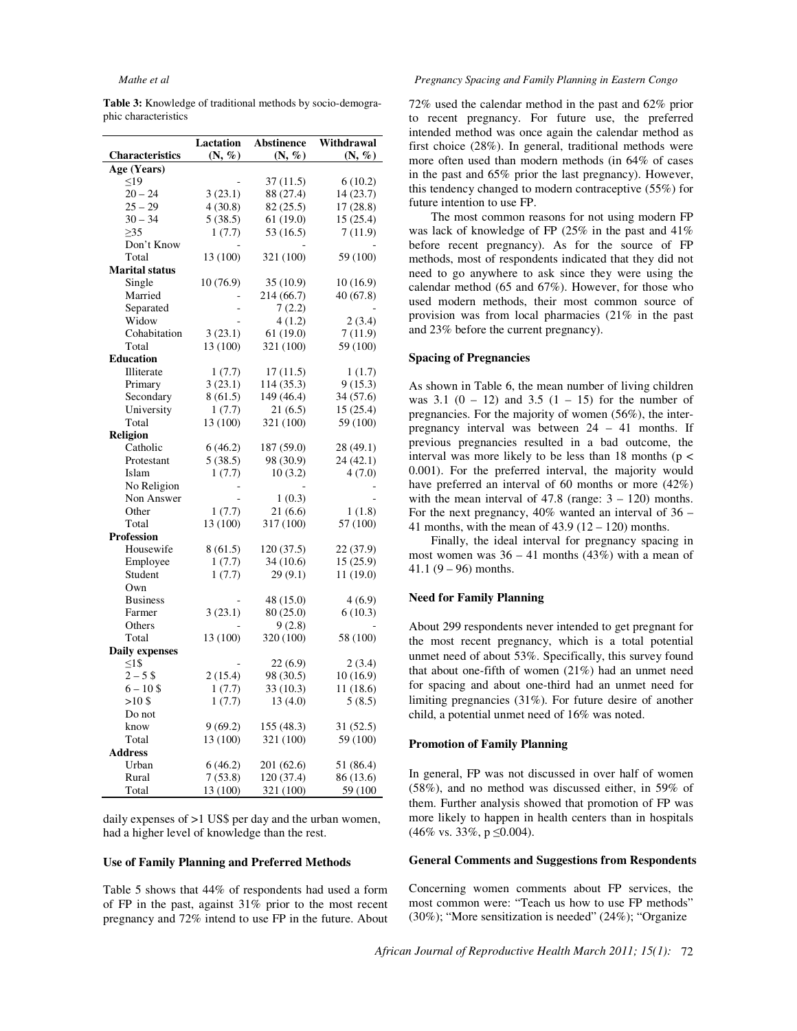| <b>Table 3:</b> Knowledge of traditional methods by socio-demogra- |  |  |  |
|--------------------------------------------------------------------|--|--|--|
| phic characteristics                                               |  |  |  |

|                        | <b>Lactation</b> | <b>Abstinence</b> | Withdrawal         |
|------------------------|------------------|-------------------|--------------------|
| <b>Characteristics</b> | (N, %)           | (N, %)            | $(N, \mathcal{C})$ |
| Age (Years)            |                  |                   |                    |
| $\leq19$               |                  | 37 (11.5)         | 6(10.2)            |
| $20 - 24$              | 3(23.1)          | 88 (27.4)         | 14 (23.7)          |
| $25 - 29$              | 4(30.8)          | 82 (25.5)         | 17 (28.8)          |
| $30 - 34$              | 5(38.5)          | 61 (19.0)         | 15 (25.4)          |
| $\geq$ 35              | 1(7.7)           | 53 (16.5)         | 7(11.9)            |
| Don't Know             |                  |                   |                    |
| Total                  | 13 (100)         | 321 (100)         | 59 (100)           |
| <b>Marital status</b>  |                  |                   |                    |
| Single                 | 10 (76.9)        | 35 (10.9)         | 10(16.9)           |
| Married                |                  | 214 (66.7)        | 40 (67.8)          |
| Separated              |                  | 7(2.2)            |                    |
| Widow                  |                  | 4(1.2)            | 2(3.4)             |
| Cohabitation           | 3(23.1)          | 61(19.0)          | 7(11.9)            |
| Total                  | 13 (100)         | 321 (100)         | 59 (100)           |
| <b>Education</b>       |                  |                   |                    |
| Illiterate             | 1(7.7)           | 17 (11.5)         | 1(1.7)             |
| Primary                | 3(23.1)          | 114 (35.3)        | 9(15.3)            |
| Secondary              | 8(61.5)          | 149 (46.4)        | 34 (57.6)          |
| University             | 1(7.7)           | 21(6.5)           | 15(25.4)           |
| Total                  | 13 (100)         | 321 (100)         | 59 (100)           |
| <b>Religion</b>        |                  |                   |                    |
| Catholic               | 6(46.2)          | 187 (59.0)        | 28 (49.1)          |
| Protestant             | 5(38.5)          | 98 (30.9)         | 24 (42.1)          |
| Islam                  | 1(7.7)           | 10(3.2)           | 4(7.0)             |
| No Religion            |                  |                   |                    |
| Non Answer             |                  | 1(0.3)            |                    |
| Other                  | 1(7.7)           | 21 (6.6)          | 1(1.8)             |
| Total                  | 13 (100)         | 317 (100)         | 57 (100)           |
| <b>Profession</b>      |                  |                   |                    |
| Housewife              | 8(61.5)          | 120 (37.5)        | 22 (37.9)          |
| Employee               | 1(7.7)           | 34 (10.6)         | 15 (25.9)          |
| Student                | 1(7.7)           | 29(9.1)           | 11 (19.0)          |
| Own                    |                  |                   |                    |
| <b>Business</b>        |                  | 48 (15.0)         | 4(6.9)             |
| Farmer                 | 3(23.1)          | 80 (25.0)         | 6(10.3)            |
| Others                 |                  | 9(2.8)            |                    |
| Total                  | 13 (100)         | 320 (100)         | 58 (100)           |
| <b>Daily expenses</b>  |                  |                   |                    |
| $\leq15$               |                  | 22(6.9)           | 2(3.4)             |
| $2 - 5$ \$             | 2(15.4)          | 98 (30.5)         | 10(16.9)           |
| $6 - 10$ \$            | 1(7.7)           | 33 (10.3)         | 11 (18.6)          |
| $>10\frac{\pi}{3}$     | 1(7.7)           | 13(4.0)           | 5(8.5)             |
| Do not                 |                  |                   |                    |
| know                   | 9(69.2)          | 155 (48.3)        | 31 (52.5)          |
| Total                  | 13 (100)         | 321 (100)         | 59 (100)           |
| Address                |                  |                   |                    |
| Urban                  | 6(46.2)          | 201 (62.6)        | 51 (86.4)          |
| Rural                  | 7(53.8)          | 120 (37.4)        | 86 (13.6)          |
| Total                  | 13 (100)         | 321 (100)         | 59 (100)           |
|                        |                  |                   |                    |

daily expenses of >1 US\$ per day and the urban women, had a higher level of knowledge than the rest.

#### **Use of Family Planning and Preferred Methods**

Table 5 shows that 44% of respondents had used a form of FP in the past, against 31% prior to the most recent pregnancy and 72% intend to use FP in the future. About

#### *Mathe et al Pregnancy Spacing and Family Planning in Eastern Congo*

72% used the calendar method in the past and 62% prior to recent pregnancy. For future use, the preferred intended method was once again the calendar method as first choice (28%). In general, traditional methods were more often used than modern methods (in 64% of cases in the past and 65% prior the last pregnancy). However, this tendency changed to modern contraceptive (55%) for future intention to use FP.

The most common reasons for not using modern FP was lack of knowledge of FP (25% in the past and 41% before recent pregnancy). As for the source of FP methods, most of respondents indicated that they did not need to go anywhere to ask since they were using the calendar method (65 and 67%). However, for those who used modern methods, their most common source of provision was from local pharmacies (21% in the past and 23% before the current pregnancy).

### **Spacing of Pregnancies**

As shown in Table 6, the mean number of living children was 3.1  $(0 - 12)$  and 3.5  $(1 - 15)$  for the number of pregnancies. For the majority of women (56%), the interpregnancy interval was between 24 – 41 months. If previous pregnancies resulted in a bad outcome, the interval was more likely to be less than 18 months ( $p <$ 0.001). For the preferred interval, the majority would have preferred an interval of 60 months or more (42%) with the mean interval of  $47.8$  (range:  $3 - 120$ ) months. For the next pregnancy,  $40\%$  wanted an interval of  $36 -$ 41 months, with the mean of  $43.9$  ( $12 - 120$ ) months.

Finally, the ideal interval for pregnancy spacing in most women was  $36 - 41$  months  $(43%)$  with a mean of 41.1  $(9 - 96)$  months.

#### **Need for Family Planning**

About 299 respondents never intended to get pregnant for the most recent pregnancy, which is a total potential unmet need of about 53%. Specifically, this survey found that about one-fifth of women (21%) had an unmet need for spacing and about one-third had an unmet need for limiting pregnancies (31%). For future desire of another child, a potential unmet need of 16% was noted.

#### **Promotion of Family Planning**

In general, FP was not discussed in over half of women (58%), and no method was discussed either, in 59% of them. Further analysis showed that promotion of FP was more likely to happen in health centers than in hospitals  $(46\% \text{ vs. } 33\%, \text{ p } \leq 0.004).$ 

#### **General Comments and Suggestions from Respondents**

Concerning women comments about FP services, the most common were: "Teach us how to use FP methods" (30%); "More sensitization is needed" (24%); "Organize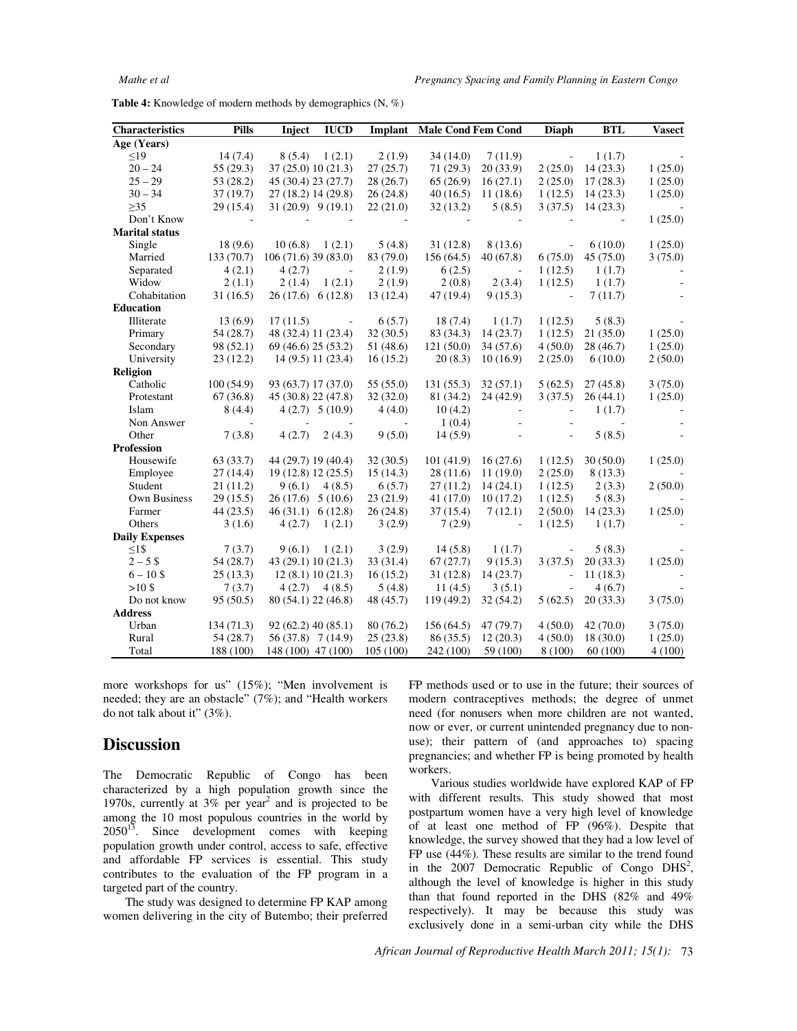**Table 4:** Knowledge of modern methods by demographics (N, %)

| Characteristics       | <b>Pills</b> | <b>IUCD</b><br>Inject |                          | <b>Implant</b> Male Cond Fem Cond |          | Diaph                    | <b>BTL</b> | <b>Vasect</b> |
|-----------------------|--------------|-----------------------|--------------------------|-----------------------------------|----------|--------------------------|------------|---------------|
| Age (Years)           |              |                       |                          |                                   |          |                          |            |               |
| $\leq$ 19             | 14(7.4)      | 8(5.4)<br>1(2.1)      | 2(1.9)                   | 34(14.0)                          | 7(11.9)  | $\overline{\phantom{a}}$ | 1(1.7)     |               |
| $20 - 24$             | 55 (29.3)    | 37 (25.0) 10 (21.3)   | 27(25.7)                 | 71(29.3)                          | 20(33.9) | 2(25.0)                  | 14(23.3)   | 1(25.0)       |
| $25 - 29$             | 53 (28.2)    | 45 (30.4) 23 (27.7)   | 28(26.7)                 | 65(26.9)                          | 16(27.1) | 2(25.0)                  | 17(28.3)   | 1(25.0)       |
| $30 - 34$             | 37(19.7)     | 27 (18.2) 14 (29.8)   | 26(24.8)                 | 40(16.5)                          | 11(18.6) | 1(12.5)                  | 14(23.3)   | 1(25.0)       |
| $\geq$ 35             | 29(15.4)     | $31(20.9)$ $9(19.1)$  | 22(21.0)                 | 32(13.2)                          | 5(8.5)   | 3(37.5)                  | 14(23.3)   |               |
| Don't Know            |              |                       |                          |                                   |          |                          |            | 1(25.0)       |
| <b>Marital status</b> |              |                       |                          |                                   |          |                          |            |               |
| Single                | 18(9.6)      | 10(6.8)<br>1(2.1)     | 5(4.8)                   | 31(12.8)                          | 8(13.6)  | $\overline{\phantom{a}}$ | 6(10.0)    | 1(25.0)       |
| Married               | 133(70.7)    | $106(71.6)$ 39 (83.0) | 83 (79.0)                | 156(64.5)                         | 40(67.8) | 6(75.0)                  | 45(75.0)   | 3(75.0)       |
| Separated             | 4(2.1)       | 4(2.7)<br>$\sim$      | 2(1.9)                   | 6(2.5)                            | $\sim$   | 1(12.5)                  | 1(1.7)     |               |
| Widow                 | 2(1.1)       | 2(1.4)<br>1(2.1)      | 2(1.9)                   | 2(0.8)                            | 2(3.4)   | 1(12.5)                  | 1(1.7)     |               |
| Cohabitation          | 31(16.5)     | 26(17.6) 6(12.8)      | 13(12.4)                 | 47(19.4)                          | 9(15.3)  | $\sim$                   | 7(11.7)    |               |
| Education             |              |                       |                          |                                   |          |                          |            |               |
| Illiterate            | 13(6.9)      | 17(11.5)              | 6(5.7)                   | 18(7.4)                           | 1(1.7)   | 1(12.5)                  | 5(8.3)     |               |
| Primary               | 54(28.7)     | 48 (32.4) 11 (23.4)   | 32(30.5)                 | 83 (34.3)                         | 14(23.7) | 1(12.5)                  | 21(35.0)   | 1(25.0)       |
| Secondary             | 98 (52.1)    | 69 (46.6) 25 (53.2)   | 51 (48.6)                | 121(50.0)                         | 34(57.6) | 4(50.0)                  | 28(46.7)   | 1(25.0)       |
| University            | 23(12.2)     | 14 (9.5) 11 (23.4)    | 16(15.2)                 | 20(8.3)                           | 10(16.9) | 2(25.0)                  | 6(10.0)    | 2(50.0)       |
| Religion              |              |                       |                          |                                   |          |                          |            |               |
| Catholic              | 100(54.9)    | 93 (63.7) 17 (37.0)   | 55 (55.0)                | 131(55.3)                         | 32(57.1) | 5(62.5)                  | 27(45.8)   | 3(75.0)       |
| Protestant            | 67(36.8)     | 45 (30.8) 22 (47.8)   | 32(32.0)                 | 81 (34.2)                         | 24(42.9) | 3(37.5)                  | 26(44.1)   | 1(25.0)       |
| Islam                 | 8(4.4)       | $4(2.7)$ $5(10.9)$    | 4(4.0)                   | 10(4.2)                           | $\sim$   |                          | 1(1.7)     |               |
| Non Answer            | $\sim$       |                       | $\overline{\phantom{a}}$ | 1(0.4)                            |          |                          |            |               |
| Other                 | 7(3.8)       | 4(2.7)<br>2(4.3)      | 9(5.0)                   | 14(5.9)                           |          |                          | 5(8.5)     |               |
| Profession            |              |                       |                          |                                   |          |                          |            |               |
| Housewife             | 63(33.7)     | 44 (29.7) 19 (40.4)   | 32(30.5)                 | 101(41.9)                         | 16(27.6) | 1(12.5)                  | 30(50.0)   | 1(25.0)       |
| Employee              | 27(14.4)     | 19 (12.8) 12 (25.5)   | 15(14.3)                 | 28(11.6)                          | 11(19.0) | 2(25.0)                  | 8(13.3)    |               |
| Student               | 21(11.2)     | $9(6.1)$ 4(8.5)       | 6(5.7)                   | 27(11.2)                          | 14(24.1) | 1(12.5)                  | 2(3.3)     | 2(50.0)       |
| <b>Own Business</b>   | 29(15.5)     | $26(17.6)$ 5 (10.6)   | 23(21.9)                 | 41(17.0)                          | 10(17.2) | 1(12.5)                  | 5(8.3)     |               |
| Farmer                | 44(23.5)     | 46(31.1) 6(12.8)      | 26(24.8)                 | 37(15.4)                          | 7(12.1)  | 2(50.0)                  | 14(23.3)   | 1(25.0)       |
| Others                | 3(1.6)       | 4(2.7)<br>1(2.1)      | 3(2.9)                   | 7(2.9)                            | $\sim$   | 1(12.5)                  | 1(1,7)     |               |
| <b>Daily Expenses</b> |              |                       |                          |                                   |          |                          |            |               |
| $\leq15$              | 7(3.7)       | 9(6.1)<br>1(2.1)      | 3(2.9)                   | 14(5.8)                           | 1(1.7)   | $\overline{\phantom{a}}$ | 5(8.3)     |               |
| $2 - 5S$              | 54(28.7)     | 43 (29.1) 10 (21.3)   | 33(31.4)                 | 67(27.7)                          | 9(15.3)  | 3(37.5)                  | 20(33.3)   | 1(25.0)       |
| $6 - 10$ \$           | 25(13.3)     | 12(8.1) 10(21.3)      | 16(15.2)                 | 31(12.8)                          | 14(23.7) | ÷,                       | 11(18.3)   |               |
| $>10$ \$              | 7(3.7)       | $4(2.7)$ $4(8.5)$     | 5(4.8)                   | 11(4.5)                           | 3(5.1)   | ÷,                       | 4(6.7)     |               |
| Do not know           | 95(50.5)     | 80 (54.1) 22 (46.8)   | 48 (45.7)                | 119 (49.2)                        | 32(54.2) | 5(62.5)                  | 20(33.3)   | 3(75.0)       |
| <b>Address</b>        |              |                       |                          |                                   |          |                          |            |               |
| Urban                 | 134(71.3)    | $92(62.2)$ 40 (85.1)  | 80(76.2)                 | 156(64.5)                         | 47(79.7) | 4(50.0)                  | 42(70.0)   | 3(75.0)       |
| Rural                 | 54(28.7)     | 56 (37.8) 7 (14.9)    | 25(23.8)                 | 86(35.5)                          | 12(20.3) | 4(50.0)                  | 18(30.0)   | 1(25.0)       |
| Total                 | 188 (100)    | 148 (100) 47 (100)    | 105(100)                 | 242 (100)                         | 59 (100) | 8(100)                   | 60(100)    | 4(100)        |

more workshops for us" (15%); "Men involvement is needed; they are an obstacle" (7%); and "Health workers do not talk about it" (3%).

## **Discussion**

The Democratic Republic of Congo has been characterized by a high population growth since the 1970s, currently at  $3\%$  per year<sup>2</sup> and is projected to be among the 10 most populous countries in the world by  $2050^{13}$ . Since development comes with keeping population growth under control, access to safe, effective and affordable FP services is essential. This study contributes to the evaluation of the FP program in a targeted part of the country.

The study was designed to determine FP KAP among women delivering in the city of Butembo; their preferred FP methods used or to use in the future; their sources of modern contraceptives methods; the degree of unmet need (for nonusers when more children are not wanted, now or ever, or current unintended pregnancy due to nonuse); their pattern of (and approaches to) spacing pregnancies; and whether FP is being promoted by health workers.

Various studies worldwide have explored KAP of FP with different results. This study showed that most postpartum women have a very high level of knowledge of at least one method of FP (96%). Despite that knowledge, the survey showed that they had a low level of FP use (44%). These results are similar to the trend found in the 2007 Democratic Republic of Congo  $DHS<sup>2</sup>$ , although the level of knowledge is higher in this study than that found reported in the DHS (82% and 49% respectively). It may be because this study was exclusively done in a semi-urban city while the DHS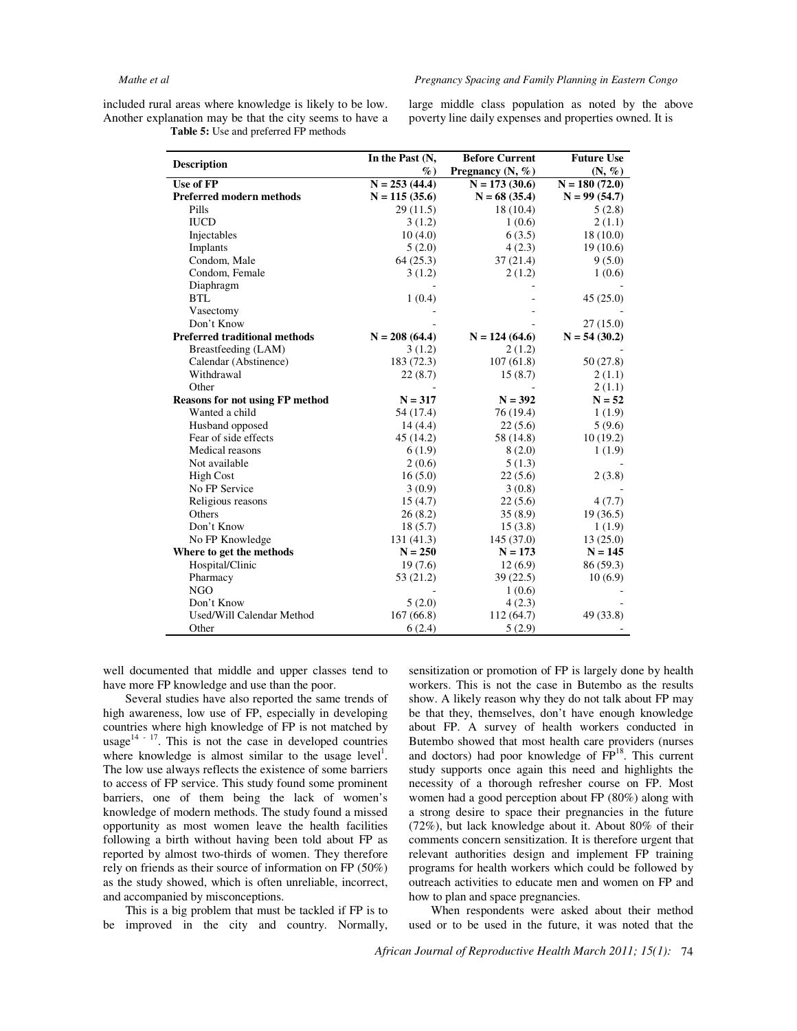included rural areas where knowledge is likely to be low. Another explanation may be that the city seems to have a  **Table 5:** Use and preferred FP methods

large middle class population as noted by the above poverty line daily expenses and properties owned. It is

|                                        | In the Past (N, | <b>Before Current</b> | <b>Future Use</b>  |
|----------------------------------------|-----------------|-----------------------|--------------------|
| <b>Description</b>                     | $\%$            | Pregnancy (N, %)      | $(N, \mathcal{U})$ |
| Use of FP                              | $N = 253(44.4)$ | $N = 173(30.6)$       | $N = 180(72.0)$    |
| <b>Preferred modern methods</b>        | $N = 115(35.6)$ | $N = 68$ (35.4)       | $N = 99(54.7)$     |
| Pills                                  | 29(11.5)        | 18(10.4)              | 5(2.8)             |
| <b>IUCD</b>                            | 3(1.2)          | 1(0.6)                | 2(1.1)             |
| Injectables                            | 10(4.0)         | 6(3.5)                | 18(10.0)           |
| Implants                               | 5(2.0)          | 4(2.3)                | 19(10.6)           |
| Condom, Male                           | 64(25.3)        | 37(21.4)              | 9(5.0)             |
| Condom, Female                         | 3(1.2)          | 2(1.2)                | 1(0.6)             |
| Diaphragm                              |                 |                       |                    |
| <b>BTL</b>                             | 1(0.4)          |                       | 45(25.0)           |
| Vasectomy                              |                 |                       |                    |
| Don't Know                             |                 |                       | 27(15.0)           |
| <b>Preferred traditional methods</b>   | $N = 208(64.4)$ | $N = 124(64.6)$       | $N = 54(30.2)$     |
| Breastfeeding (LAM)                    | 3(1.2)          | 2(1.2)                |                    |
| Calendar (Abstinence)                  | 183 (72.3)      | 107(61.8)             | 50 (27.8)          |
| Withdrawal                             | 22(8.7)         | 15(8.7)               | 2(1.1)             |
| Other                                  |                 |                       | 2(1.1)             |
| <b>Reasons for not using FP method</b> | $N = 317$       | $N = 392$             | $N = 52$           |
| Wanted a child                         | 54 (17.4)       | 76 (19.4)             | 1(1.9)             |
| Husband opposed                        | 14(4.4)         | 22(5.6)               | 5(9.6)             |
| Fear of side effects                   | 45 (14.2)       | 58 (14.8)             | 10(19.2)           |
| Medical reasons                        | 6(1.9)          | 8(2.0)                | 1(1.9)             |
| Not available                          | 2(0.6)          | 5(1.3)                |                    |
| <b>High Cost</b>                       | 16(5.0)         | 22(5.6)               | 2(3.8)             |
| No FP Service                          | 3(0.9)          | 3(0.8)                |                    |
| Religious reasons                      | 15(4.7)         | 22(5.6)               | 4(7.7)             |
| Others                                 | 26(8.2)         | 35(8.9)               | 19(36.5)           |
| Don't Know                             | 18(5.7)         | 15(3.8)               | 1(1.9)             |
| No FP Knowledge                        | 131(41.3)       | 145 (37.0)            | 13(25.0)           |
| Where to get the methods               | $N = 250$       | $N = 173$             | $N = 145$          |
| Hospital/Clinic                        | 19(7.6)         | 12(6.9)               | 86 (59.3)          |
| Pharmacy                               | 53 (21.2)       | 39(22.5)              | 10(6.9)            |
| <b>NGO</b>                             |                 | 1(0.6)                |                    |
| Don't Know                             | 5(2.0)          | 4(2.3)                |                    |
| Used/Will Calendar Method              | 167(66.8)       | 112 (64.7)            | 49 (33.8)          |
| Other                                  | 6(2.4)          | 5(2.9)                |                    |

well documented that middle and upper classes tend to have more FP knowledge and use than the poor.

Several studies have also reported the same trends of high awareness, low use of FP, especially in developing countries where high knowledge of FP is not matched by usage $14 - 17$ . This is not the case in developed countries where knowledge is almost similar to the usage level<sup>1</sup>. The low use always reflects the existence of some barriers to access of FP service. This study found some prominent barriers, one of them being the lack of women's knowledge of modern methods. The study found a missed opportunity as most women leave the health facilities following a birth without having been told about FP as reported by almost two-thirds of women. They therefore rely on friends as their source of information on FP (50%) as the study showed, which is often unreliable, incorrect, and accompanied by misconceptions.

This is a big problem that must be tackled if FP is to be improved in the city and country. Normally, sensitization or promotion of FP is largely done by health workers. This is not the case in Butembo as the results show. A likely reason why they do not talk about FP may be that they, themselves, don't have enough knowledge about FP. A survey of health workers conducted in Butembo showed that most health care providers (nurses and doctors) had poor knowledge of  $\overline{FP}^{18}$ . This current study supports once again this need and highlights the necessity of a thorough refresher course on FP. Most women had a good perception about FP (80%) along with a strong desire to space their pregnancies in the future (72%), but lack knowledge about it. About 80% of their comments concern sensitization. It is therefore urgent that relevant authorities design and implement FP training programs for health workers which could be followed by outreach activities to educate men and women on FP and how to plan and space pregnancies.

When respondents were asked about their method used or to be used in the future, it was noted that the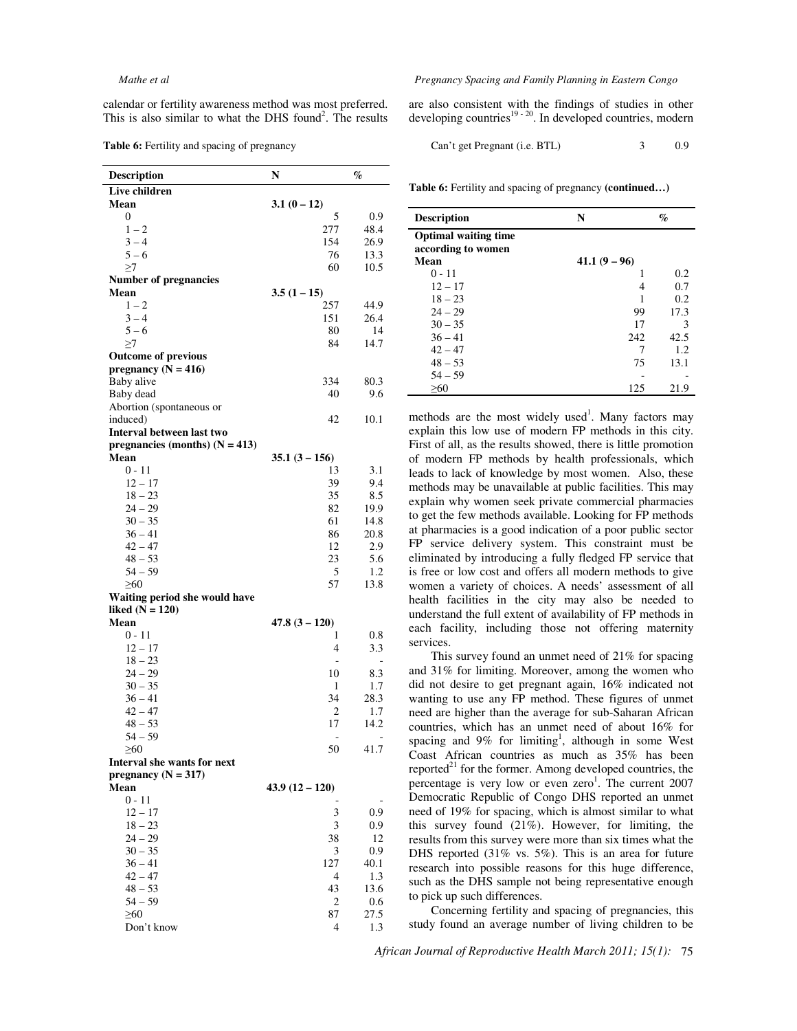calendar or fertility awareness method was most preferred. This is also similar to what the DHS found<sup>2</sup>. The results

**Table 6:** Fertility and spacing of pregnancy

| <b>Description</b>               | N                | $\%$                     |
|----------------------------------|------------------|--------------------------|
| Live children                    |                  |                          |
| Mean                             | $3.1(0-12)$      |                          |
| $\Omega$                         | 5                | 0.9                      |
| $1 - 2$                          | 277              | 48.4                     |
| $3 - 4$                          | 154              | 26.9                     |
| $5 - 6$                          | 76               | 13.3                     |
| >7                               | 60               | 10.5                     |
| Number of pregnancies            |                  |                          |
| Mean                             | $3.5(1-15)$      |                          |
| $1 - 2$                          | 257              | 44.9                     |
| $3 - 4$                          | 151              | 26.4                     |
| $5 - 6$                          | 80               | 14                       |
| >7                               | 84               | 14.7                     |
| <b>Outcome of previous</b>       |                  |                          |
| pregnancy ( $N = 416$ )          |                  |                          |
| Baby alive                       | 334              | 80.3                     |
| Baby dead                        | 40               | 9.6                      |
| Abortion (spontaneous or         |                  |                          |
| induced)                         | 42               | 10.1                     |
| Interval between last two        |                  |                          |
| pregnancies (months) $(N = 413)$ |                  |                          |
| Mean                             | $35.1(3 - 156)$  |                          |
| $0 - 11$                         | 13               | 3.1                      |
| $12 - 17$                        | 39               | 9.4                      |
| $18 - 23$                        | 35               | 8.5                      |
| $24 - 29$                        | 82               | 19.9                     |
| $30 - 35$                        | 61               | 14.8                     |
| $36 - 41$                        | 86               | 20.8                     |
| $42 - 47$                        | 12               | 2.9                      |
| $48 - 53$                        | 23               | 5.6                      |
| $54 - 59$                        | 5                | 1.2                      |
| $\geq 60$                        | 57               | 13.8                     |
| Waiting period she would have    |                  |                          |
| liked $(N = 120)$                |                  |                          |
| Mean                             | $47.8(3 - 120)$  |                          |
| $0 - 11$                         | 1                | $0.8\,$                  |
| $12 - 17$                        | 4                | 3.3                      |
| $18 - 23$                        | ۰                | $\overline{\phantom{a}}$ |
| $24 - 29$                        | 10               | 8.3                      |
| $30 - 35$                        | 1                | 1.7                      |
| 36 – 41                          | 34               | 28.3                     |
| $42 - 47$                        | 2                | 1.7                      |
| $48 - 53$                        | 17               | 14.2                     |
| $54 - 59$                        | ÷,               | $\overline{a}$           |
| $\geq 60$                        | 50               | 41.7                     |
| Interval she wants for next      |                  |                          |
| pregnancy $(N = 317)$            |                  |                          |
| Mean                             | $43.9(12 - 120)$ |                          |
| $0 - 11$                         |                  |                          |
| $12 - 17$                        | 3                | 0.9                      |
| $18 - 23$                        | 3                | 0.9                      |
| $24 - 29$                        | 38               | 12                       |
| $30 - 35$                        | 3                | 0.9                      |
| $36 - 41$                        | 127              | 40.1                     |
| $42 - 47$                        | 4                | 1.3                      |
| $48 - 53$                        | 43               | 13.6                     |
| 54 – 59                          | 2                | 0.6                      |
| $\geq 60$                        | 87               | 27.5                     |
| Don't know                       | 4                | 1.3                      |

#### *Mathe et al Pregnancy Spacing and Family Planning in Eastern Congo*

are also consistent with the findings of studies in other developing countries<sup>19 - 20</sup>. In developed countries, modern

Can't get Pregnant (i.e. BTL) 3 0.9

**Table 6:** Fertility and spacing of pregnancy **(continued…)** 

| <b>Description</b>                                | N            | $\%$ |
|---------------------------------------------------|--------------|------|
| <b>Optimal waiting time</b><br>according to women |              |      |
| Mean                                              | $41.1(9-96)$ |      |
| $0 - 11$                                          |              | 0.2  |
| $12 - 17$                                         | 4            | 0.7  |
| $18 - 23$                                         |              | 0.2  |
| $24 - 29$                                         | 99           | 17.3 |
| $30 - 35$                                         | 17           | 3    |
| $36 - 41$                                         | 242          | 42.5 |
| $42 - 47$                                         |              | 1.2  |
| $48 - 53$                                         | 75           | 13.1 |
| $54 - 59$                                         |              |      |
| >60                                               | 125          | 21.9 |

methods are the most widely used<sup>1</sup>. Many factors may explain this low use of modern FP methods in this city. First of all, as the results showed, there is little promotion of modern FP methods by health professionals, which leads to lack of knowledge by most women. Also, these methods may be unavailable at public facilities. This may explain why women seek private commercial pharmacies to get the few methods available. Looking for FP methods at pharmacies is a good indication of a poor public sector FP service delivery system. This constraint must be eliminated by introducing a fully fledged FP service that is free or low cost and offers all modern methods to give women a variety of choices. A needs' assessment of all health facilities in the city may also be needed to understand the full extent of availability of FP methods in each facility, including those not offering maternity services.

This survey found an unmet need of 21% for spacing and 31% for limiting. Moreover, among the women who did not desire to get pregnant again, 16% indicated not wanting to use any FP method. These figures of unmet need are higher than the average for sub-Saharan African countries, which has an unmet need of about 16% for spacing and  $9\%$  for limiting<sup>1</sup>, although in some West Coast African countries as much as 35% has been reported $^{21}$  for the former. Among developed countries, the percentage is very low or even zero<sup>1</sup>. The current 2007 Democratic Republic of Congo DHS reported an unmet need of 19% for spacing, which is almost similar to what this survey found (21%). However, for limiting, the results from this survey were more than six times what the DHS reported (31% vs. 5%). This is an area for future research into possible reasons for this huge difference, such as the DHS sample not being representative enough to pick up such differences.

Concerning fertility and spacing of pregnancies, this study found an average number of living children to be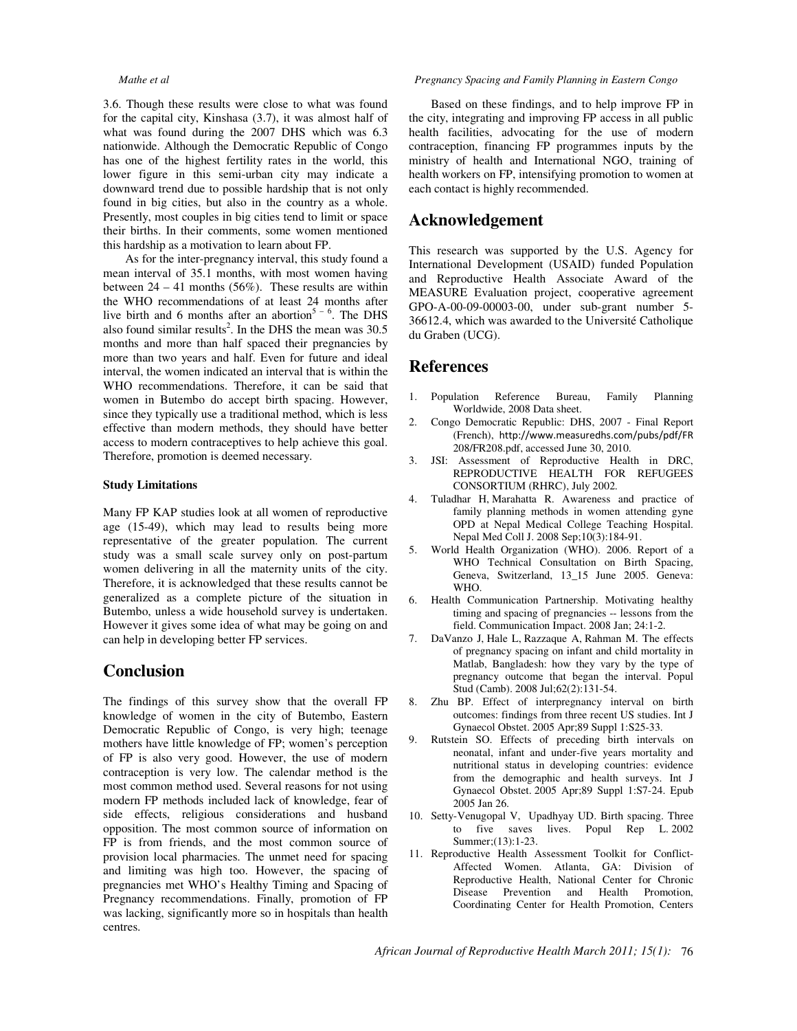3.6. Though these results were close to what was found for the capital city, Kinshasa (3.7), it was almost half of what was found during the 2007 DHS which was 6.3 nationwide. Although the Democratic Republic of Congo has one of the highest fertility rates in the world, this lower figure in this semi-urban city may indicate a downward trend due to possible hardship that is not only found in big cities, but also in the country as a whole. Presently, most couples in big cities tend to limit or space their births. In their comments, some women mentioned this hardship as a motivation to learn about FP.

As for the inter-pregnancy interval, this study found a mean interval of 35.1 months, with most women having between  $24 - 41$  months (56%). These results are within the WHO recommendations of at least 24 months after live birth and 6 months after an abortion<sup>5 – 6</sup>. The DHS also found similar results<sup>2</sup>. In the DHS the mean was  $30.5$ months and more than half spaced their pregnancies by more than two years and half. Even for future and ideal interval, the women indicated an interval that is within the WHO recommendations. Therefore, it can be said that women in Butembo do accept birth spacing. However, since they typically use a traditional method, which is less effective than modern methods, they should have better access to modern contraceptives to help achieve this goal. Therefore, promotion is deemed necessary.

### **Study Limitations**

Many FP KAP studies look at all women of reproductive age (15-49), which may lead to results being more representative of the greater population. The current study was a small scale survey only on post-partum women delivering in all the maternity units of the city. Therefore, it is acknowledged that these results cannot be generalized as a complete picture of the situation in Butembo, unless a wide household survey is undertaken. However it gives some idea of what may be going on and can help in developing better FP services.

## **Conclusion**

The findings of this survey show that the overall FP knowledge of women in the city of Butembo, Eastern Democratic Republic of Congo, is very high; teenage mothers have little knowledge of FP; women's perception of FP is also very good. However, the use of modern contraception is very low. The calendar method is the most common method used. Several reasons for not using modern FP methods included lack of knowledge, fear of side effects, religious considerations and husband opposition. The most common source of information on FP is from friends, and the most common source of provision local pharmacies. The unmet need for spacing and limiting was high too. However, the spacing of pregnancies met WHO's Healthy Timing and Spacing of Pregnancy recommendations. Finally, promotion of FP was lacking, significantly more so in hospitals than health centres.

#### *Mathe et al Pregnancy Spacing and Family Planning in Eastern Congo*

Based on these findings, and to help improve FP in the city, integrating and improving FP access in all public health facilities, advocating for the use of modern contraception, financing FP programmes inputs by the ministry of health and International NGO, training of health workers on FP, intensifying promotion to women at each contact is highly recommended.

## **Acknowledgement**

This research was supported by the U.S. Agency for International Development (USAID) funded Population and Reproductive Health Associate Award of the MEASURE Evaluation project, cooperative agreement GPO-A-00-09-00003-00, under sub-grant number 5- 36612.4, which was awarded to the Université Catholique du Graben (UCG).

## **References**

- 1. Population Reference Bureau, Family Planning Worldwide, 2008 Data sheet.
- 2. Congo Democratic Republic: DHS, 2007 Final Report (French), http://www.measuredhs.com/pubs/pdf/FR 208/FR208.pdf, accessed June 30, 2010.
- 3. JSI: Assessment of Reproductive Health in DRC, REPRODUCTIVE HEALTH FOR REFUGEES CONSORTIUM (RHRC), July 2002.
- 4. Tuladhar H, Marahatta R. Awareness and practice of family planning methods in women attending gyne OPD at Nepal Medical College Teaching Hospital. Nepal Med Coll J. 2008 Sep;10(3):184-91.
- 5. World Health Organization (WHO). 2006. Report of a WHO Technical Consultation on Birth Spacing, Geneva, Switzerland, 13\_15 June 2005. Geneva: WHO.
- 6. Health Communication Partnership. Motivating healthy timing and spacing of pregnancies -- lessons from the field. Communication Impact. 2008 Jan; 24:1-2.
- 7. DaVanzo J, Hale L, Razzaque A, Rahman M. The effects of pregnancy spacing on infant and child mortality in Matlab, Bangladesh: how they vary by the type of pregnancy outcome that began the interval. Popul Stud (Camb). 2008 Jul;62(2):131-54.
- 8. Zhu BP. Effect of interpregnancy interval on birth outcomes: findings from three recent US studies. Int J Gynaecol Obstet. 2005 Apr;89 Suppl 1:S25-33.
- 9. Rutstein SO. Effects of preceding birth intervals on neonatal, infant and under-five years mortality and nutritional status in developing countries: evidence from the demographic and health surveys. Int J Gynaecol Obstet. 2005 Apr;89 Suppl 1:S7-24. Epub 2005 Jan 26.
- 10. Setty-Venugopal V, Upadhyay UD. Birth spacing. Three to five saves lives. Popul Rep L. 2002 Summer;(13):1-23.
- 11. Reproductive Health Assessment Toolkit for Conflict-Affected Women. Atlanta, GA: Division of Reproductive Health, National Center for Chronic Disease Prevention and Health Promotion, Coordinating Center for Health Promotion, Centers